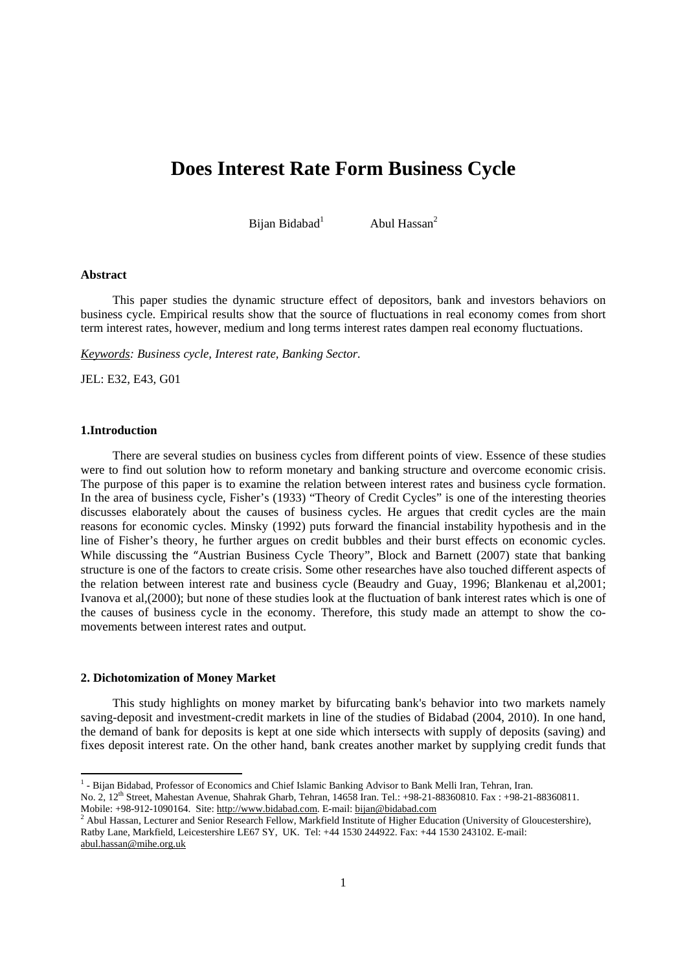# **Does Interest Rate Form Business Cycle**

Bijan Bidabad<sup>1</sup>

Abul Hassan<sup>2</sup>

## **Abstract**

This paper studies the dynamic structure effect of depositors, bank and investors behaviors on business cycle. Empirical results show that the source of fluctuations in real economy comes from short term interest rates, however, medium and long terms interest rates dampen real economy fluctuations.

*Keywords: Business cycle, Interest rate, Banking Sector.* 

JEL: E32, E43, G01

#### **1.Introduction**

There are several studies on business cycles from different points of view. Essence of these studies were to find out solution how to reform monetary and banking structure and overcome economic crisis. The purpose of this paper is to examine the relation between interest rates and business cycle formation. In the area of business cycle, Fisher's (1933) "Theory of Credit Cycles" is one of the interesting theories discusses elaborately about the causes of business cycles. He argues that credit cycles are the main reasons for economic cycles. Minsky (1992) puts forward the financial instability hypothesis and in the line of Fisher's theory, he further argues on credit bubbles and their burst effects on economic cycles. While discussing the "Austrian Business Cycle Theory", Block and Barnett (2007) state that banking structure is one of the factors to create crisis. Some other researches have also touched different aspects of the relation between interest rate and business cycle (Beaudry and Guay, 1996; Blankenau et al,2001; Ivanova et al,(2000); but none of these studies look at the fluctuation of bank interest rates which is one of the causes of business cycle in the economy. Therefore, this study made an attempt to show the comovements between interest rates and output.

## **2. Dichotomization of Money Market**

This study highlights on money market by bifurcating bank's behavior into two markets namely saving-deposit and investment-credit markets in line of the studies of Bidabad (2004, 2010). In one hand, the demand of bank for deposits is kept at one side which intersects with supply of deposits (saving) and fixes deposit interest rate. On the other hand, bank creates another market by supplying credit funds that

 1 - Bijan Bidabad, Professor of Economics and Chief Islamic Banking Advisor to Bank Melli Iran, Tehran, Iran. No. 2, 12th Street, Mahestan Avenue, Shahrak Gharb, Tehran, 14658 Iran. Tel.: +98-21-88360810. Fax : +98-21-88360811.

Mobile: +98-912-1090164. Site: http://www.bidabad.com. E-mail: bijan@bidabad.com

<sup>&</sup>lt;sup>2</sup> Abul Hassan, Lecturer and Senior Research Fellow, Markfield Institute of Higher Education (University of Gloucestershire), Ratby Lane, Markfield, Leicestershire LE67 SY, UK. Tel: +44 1530 244922. Fax: +44 1530 243102. E-mail: abul.hassan@mihe.org.uk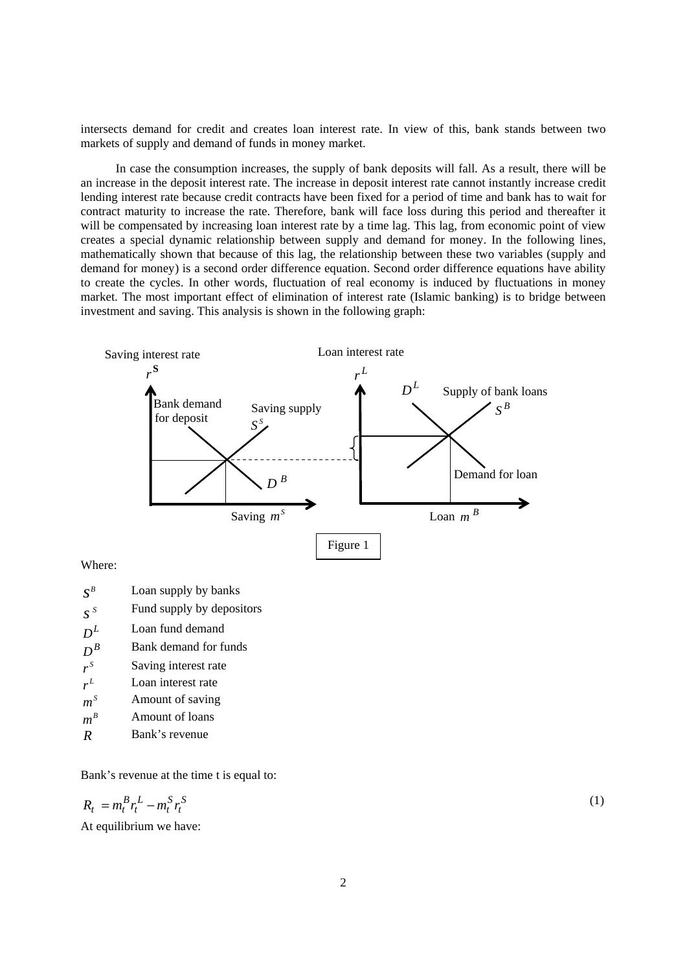intersects demand for credit and creates loan interest rate. In view of this, bank stands between two markets of supply and demand of funds in money market.

 In case the consumption increases, the supply of bank deposits will fall. As a result, there will be an increase in the deposit interest rate. The increase in deposit interest rate cannot instantly increase credit lending interest rate because credit contracts have been fixed for a period of time and bank has to wait for contract maturity to increase the rate. Therefore, bank will face loss during this period and thereafter it will be compensated by increasing loan interest rate by a time lag. This lag, from economic point of view creates a special dynamic relationship between supply and demand for money. In the following lines, mathematically shown that because of this lag, the relationship between these two variables (supply and demand for money) is a second order difference equation. Second order difference equations have ability to create the cycles. In other words, fluctuation of real economy is induced by fluctuations in money market. The most important effect of elimination of interest rate (Islamic banking) is to bridge between investment and saving. This analysis is shown in the following graph:



Where:

| $\mathcal{S}^S$ | Fund supply by depositors |
|-----------------|---------------------------|
| $D^L$           | Loan fund demand          |

- $D^B$  **Bank demand for funds**
- $r<sup>S</sup>$  Saving interest rate
- $r<sup>L</sup>$  Loan interest rate
- $m^s$  **Amount of saving**
- $m^B$  **Amount of loans**
- *R* Bank's revenue

Bank's revenue at the time t is equal to:

$$
R_t = m_t^B r_t^L - m_t^S r_t^S
$$

At equilibrium we have:

(1)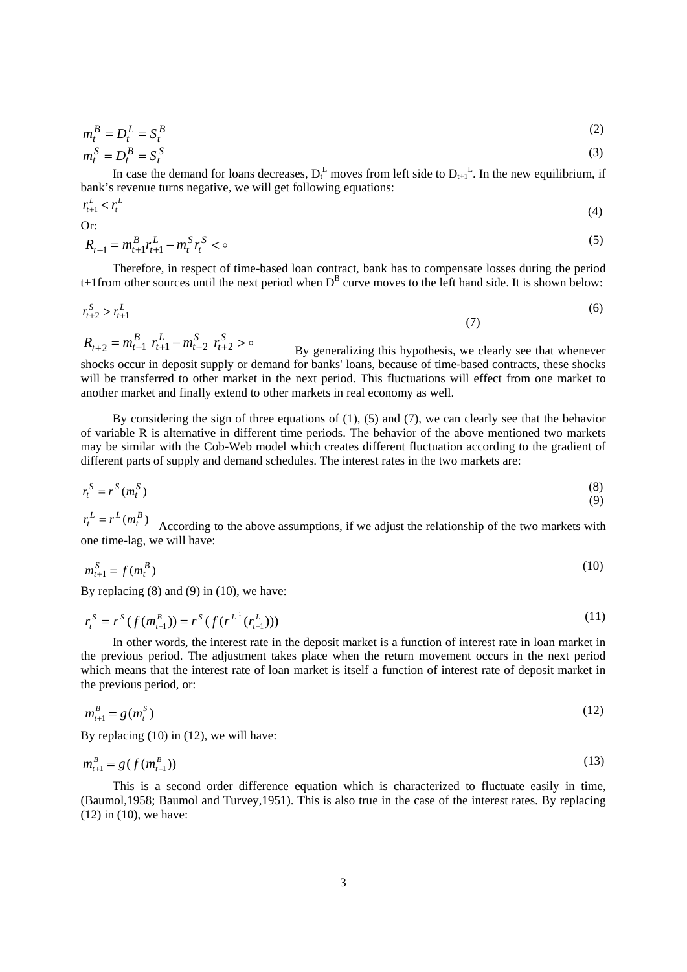$$
m_t^B = D_t^L = S_t^B \tag{2}
$$

$$
m_t^S = D_t^B = S_t^S
$$
 (3)

In case the demand for loans decreases,  $D_t^L$  moves from left side to  $D_{t+1}^L$ . In the new equilibrium, if bank's revenue turns negative, we will get following equations:

$$
r_{t+1}^L < r_t^L \tag{4}
$$

Or:

$$
R_{t+1} = m_{t+1}^B r_{t+1}^L - m_t^S r_t^S < \infty
$$
\n<sup>(5)</sup>

Therefore, in respect of time-based loan contract, bank has to compensate losses during the period t+1from other sources until the next period when  $D^B$  curve moves to the left hand side. It is shown below:

$$
r_{t+2}^S > r_{t+1}^L \tag{6}
$$

By generalizing this hypothesis, we clearly see that whenever shocks occur in deposit supply or demand for banks' loans, because of time-based contracts, these shocks will be transferred to other market in the next period. This fluctuations will effect from one market to another market and finally extend to other markets in real economy as well.  $t_{t+2} = m_{t+1}^B r_{t+1}^L - m_{t+2}^S r_{t+2}^S > 0$ *t t t*  $R_{t+2} = m_{t+1}^B \ r_{t+1}^L - m_{t+2}^S \ r_{t+2}^S$ 

By considering the sign of three equations of (1), (5) and (7), we can clearly see that the behavior of variable R is alternative in different time periods. The behavior of the above mentioned two markets may be similar with the Cob-Web model which creates different fluctuation according to the gradient of different parts of supply and demand schedules. The interest rates in the two markets are:

$$
r_t^S = r^S(m_t^S) \tag{8}
$$

According to the above assumptions, if we adjust the relationship of the two markets with one time-lag, we will have:  $r_t^L = r^L(m_t^B)$ 

$$
m_{t+1}^{S} = f(m_t^{B})
$$
 (10)

By replacing  $(8)$  and  $(9)$  in  $(10)$ , we have:

*S*

*L*

$$
r_t^S = r^S(f(m_{t-1}^B)) = r^S(f(r^{L^1}(r_{t-1}^L)))
$$
\n(11)

In other words, the interest rate in the deposit market is a function of interest rate in loan market in the previous period. The adjustment takes place when the return movement occurs in the next period which means that the interest rate of loan market is itself a function of interest rate of deposit market in the previous period, or:

$$
m_{t+1}^B = g(m_t^S) \tag{12}
$$

By replacing (10) in (12), we will have:

$$
m_{t+1}^B = g(f(m_{t-1}^B))
$$
\n(13)

This is a second order difference equation which is characterized to fluctuate easily in time, (Baumol,1958; Baumol and Turvey,1951). This is also true in the case of the interest rates. By replacing (12) in (10), we have: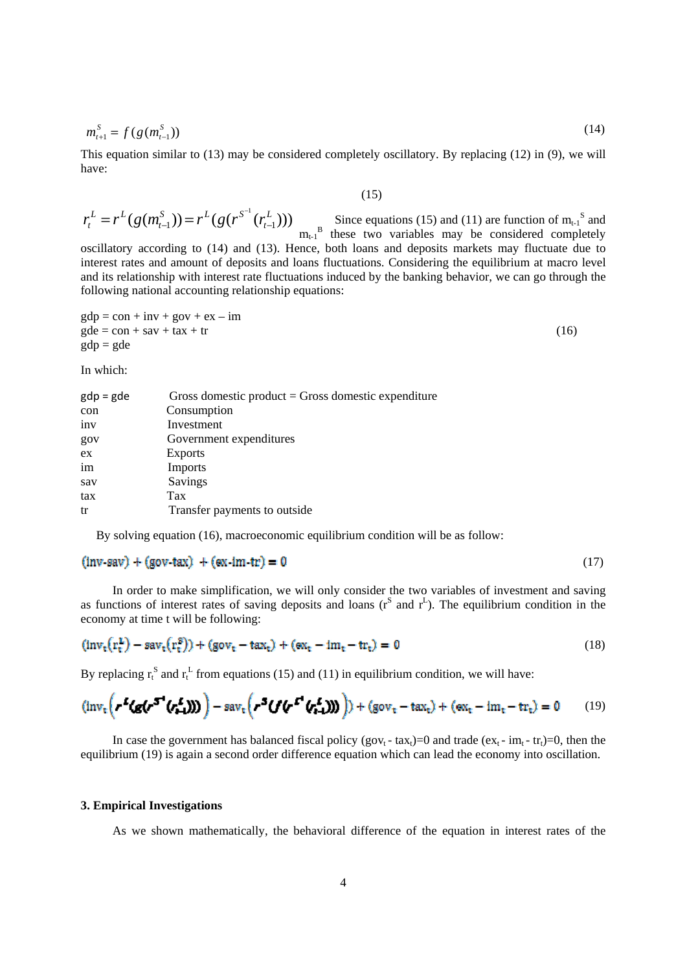$$
m_{t+1}^S = f(g(m_{t-1}^S))
$$
\n(14)

This equation similar to (13) may be considered completely oscillatory. By replacing (12) in (9), we will have:

## $(15)$

$$
r_t^L = r^L(g(m_{t-1}^S)) = r^L(g(r^{S-1}(r_{t-1}^L)))
$$
 Since equations (15) and (11) are function of m<sub>t-1</sub><sup>S</sup> and  
the sum of m<sub>t-1</sub><sup>S</sup> and  
these two variables may be considered completely

red completely oscillatory according to (14) and (13). Hence, both loans and deposits markets may fluctuate due to interest rates and amount of deposits and loans fluctuations. Considering the equilibrium at macro level and its relationship with interest rate fluctuations induced by the banking behavior, we can go through the following national accounting relationship equations:

$$
gdp = con + inv + gov + ex - imgde = con + sav + tax + tr
$$
 (16)  
gdp = gde

In which:

| $gdp = gde$ | Gross domestic product $=$ Gross domestic expenditure |
|-------------|-------------------------------------------------------|
| con         | Consumption                                           |
| inv         | Investment                                            |
| gov         | Government expenditures                               |
| ex          | <b>Exports</b>                                        |
| im          | Imports                                               |
| sav         | Savings                                               |
| tax         | <b>Tax</b>                                            |
| tr          | Transfer payments to outside                          |

By solving equation (16), macroeconomic equilibrium condition will be as follow:

### (17)

In order to make simplification, we will only consider the two variables of investment and saving as functions of interest rates of saving deposits and loans  $(r^S \text{ and } r^L)$ . The equilibrium condition in the economy at time t will be following:

$$
(\text{inv}_{t}(r_{t}^{L}) - \text{sav}_{t}(r_{t}^{S})) + (\text{gov}_{t} - \text{tax}_{t}) + (\text{ex}_{t} - \text{im}_{t} - \text{tr}_{t}) = 0
$$
\n(18)

By replacing  $r_t^S$  and  $r_t^L$  from equations (15) and (11) in equilibrium condition, we will have:

$$
(\text{inv}_{\tau}\left(r^2(g(r^{5})\left(r_{t-1}^L\right))) - \text{sav}_{\tau}\left(r^5(f(r^{5})\left(r_{t-1}^L\right)))\right) + (\text{gov}_{\tau} - \text{tax}_{\tau}) + (\text{ex}_{\tau} - \text{im}_{\tau} - \text{tr}_{\tau}) = 0 \tag{19}
$$

In case the government has balanced fiscal policy (gov<sub>t</sub> - tax<sub>t</sub>)=0 and trade (ex<sub>t</sub> - im<sub>t</sub> - tr<sub>t</sub>)=0, then the equilibrium (19) is again a second order difference equation which can lead the economy into oscillation.

### **3. Empirical Investigations**

As we shown mathematically, the behavioral difference of the equation in interest rates of the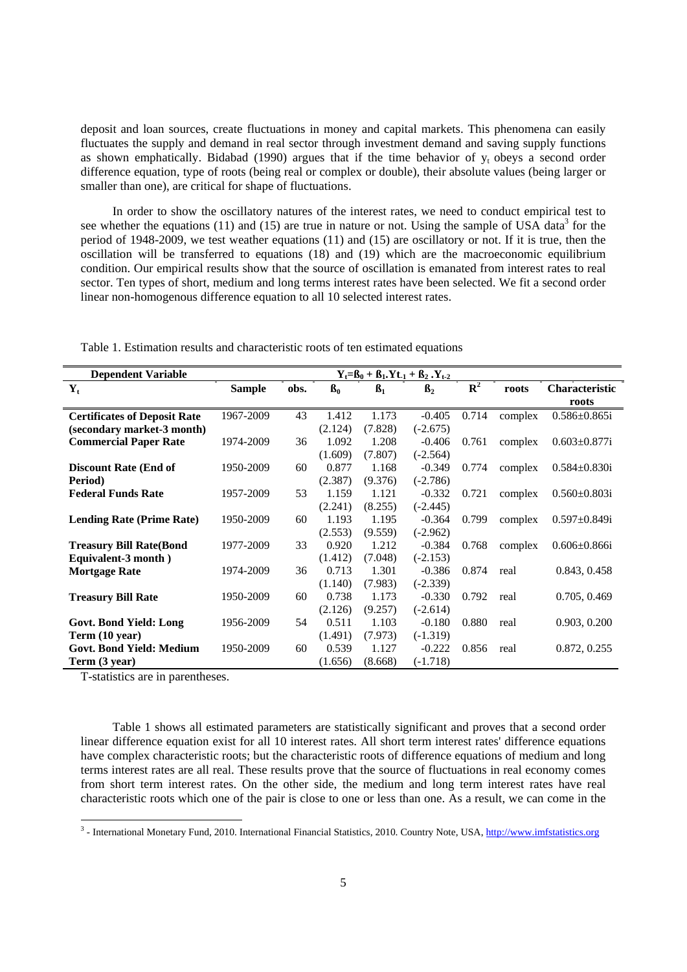deposit and loan sources, create fluctuations in money and capital markets. This phenomena can easily fluctuates the supply and demand in real sector through investment demand and saving supply functions as shown emphatically. Bidabad (1990) argues that if the time behavior of  $y_t$  obeys a second order difference equation, type of roots (being real or complex or double), their absolute values (being larger or smaller than one), are critical for shape of fluctuations.

In order to show the oscillatory natures of the interest rates, we need to conduct empirical test to see whether the equations (11) and (15) are true in nature or not. Using the sample of USA data<sup>3</sup> for the period of 1948-2009, we test weather equations (11) and (15) are oscillatory or not. If it is true, then the oscillation will be transferred to equations (18) and (19) which are the macroeconomic equilibrium condition. Our empirical results show that the source of oscillation is emanated from interest rates to real sector. Ten types of short, medium and long terms interest rates have been selected. We fit a second order linear non-homogenous difference equation to all 10 selected interest rates.

| <b>Dependent Variable</b>           | $Y_t = B_0 + B_1.Yt_{-1} + B_2.Y_{t-2}$ |      |                |           |                |                           |         |                     |  |  |
|-------------------------------------|-----------------------------------------|------|----------------|-----------|----------------|---------------------------|---------|---------------------|--|--|
| $Y_t$                               | <b>Sample</b>                           | obs. | B <sub>0</sub> | $\beta_1$ | $\mathbf{B}_2$ | $\overline{\mathbf{R}^2}$ | roots   | Characteristic      |  |  |
|                                     |                                         |      |                |           |                |                           |         | roots               |  |  |
| <b>Certificates of Deposit Rate</b> | 1967-2009                               | 43   | 1.412          | 1.173     | $-0.405$       | 0.714                     | complex | $0.586 \pm 0.865i$  |  |  |
| (secondary market-3 month)          |                                         |      | (2.124)        | (7.828)   | $(-2.675)$     |                           |         |                     |  |  |
| <b>Commercial Paper Rate</b>        | 1974-2009                               | 36   | 1.092          | 1.208     | $-0.406$       | 0.761                     | complex | $0.603 \pm 0.877i$  |  |  |
|                                     |                                         |      | (1.609)        | (7.807)   | $(-2.564)$     |                           |         |                     |  |  |
| <b>Discount Rate (End of</b>        | 1950-2009                               | 60   | 0.877          | 1.168     | $-0.349$       | 0.774                     | complex | $0.584 \pm 0.830i$  |  |  |
| Period)                             |                                         |      | (2.387)        | (9.376)   | $(-2.786)$     |                           |         |                     |  |  |
| <b>Federal Funds Rate</b>           | 1957-2009                               | 53   | 1.159          | 1.121     | $-0.332$       | 0.721                     | complex | $0.560 \pm 0.803i$  |  |  |
|                                     |                                         |      | (2.241)        | (8.255)   | $(-2.445)$     |                           |         |                     |  |  |
| <b>Lending Rate (Prime Rate)</b>    | 1950-2009                               | 60   | 1.193          | 1.195     | $-0.364$       | 0.799                     | complex | $0.597 \pm 0.849$ i |  |  |
|                                     |                                         |      | (2.553)        | (9.559)   | $(-2.962)$     |                           |         |                     |  |  |
| <b>Treasury Bill Rate(Bond</b>      | 1977-2009                               | 33   | 0.920          | 1.212     | $-0.384$       | 0.768                     | complex | $0.606 \pm 0.866$ i |  |  |
| Equivalent-3 month)                 |                                         |      | (1.412)        | (7.048)   | $(-2.153)$     |                           |         |                     |  |  |
| <b>Mortgage Rate</b>                | 1974-2009                               | 36   | 0.713          | 1.301     | $-0.386$       | 0.874                     | real    | 0.843, 0.458        |  |  |
|                                     |                                         |      | (1.140)        | (7.983)   | $(-2.339)$     |                           |         |                     |  |  |
| <b>Treasury Bill Rate</b>           | 1950-2009                               | 60   | 0.738          | 1.173     | $-0.330$       | 0.792                     | real    | 0.705, 0.469        |  |  |
|                                     |                                         |      | (2.126)        | (9.257)   | $(-2.614)$     |                           |         |                     |  |  |
| Govt. Bond Yield: Long              | 1956-2009                               | 54   | 0.511          | 1.103     | $-0.180$       | 0.880                     | real    | 0.903, 0.200        |  |  |
| Term (10 year)                      |                                         |      | (1.491)        | (7.973)   | $(-1.319)$     |                           |         |                     |  |  |
| <b>Govt. Bond Yield: Medium</b>     | 1950-2009                               | 60   | 0.539          | 1.127     | $-0.222$       | 0.856                     | real    | 0.872, 0.255        |  |  |
| Term (3 year)                       |                                         |      | (1.656)        | (8.668)   | $(-1.718)$     |                           |         |                     |  |  |

Table 1. Estimation results and characteristic roots of ten estimated equations

T-statistics are in parentheses.

Table 1 shows all estimated parameters are statistically significant and proves that a second order linear difference equation exist for all 10 interest rates. All short term interest rates' difference equations have complex characteristic roots; but the characteristic roots of difference equations of medium and long terms interest rates are all real. These results prove that the source of fluctuations in real economy comes from short term interest rates. On the other side, the medium and long term interest rates have real characteristic roots which one of the pair is close to one or less than one. As a result, we can come in the

<sup>&</sup>lt;u>- International Monetary Fund, 2010. International Financial Statistics, 2010. Country Note, USA, http://www.imfstatistics.org</u>